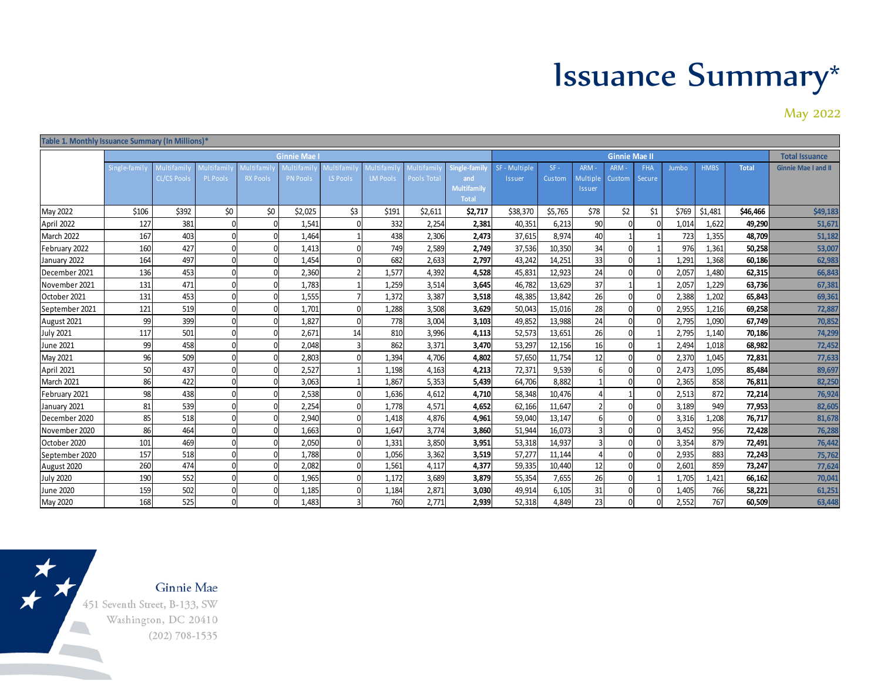## Issuance Summary\*

May 2022

| Table 1. Monthly Issuance Summary (In Millions)* |              |                    |            |                 |                 |            |                 |            |                                    |               |         |          |               |            |                       |             |              |                            |
|--------------------------------------------------|--------------|--------------------|------------|-----------------|-----------------|------------|-----------------|------------|------------------------------------|---------------|---------|----------|---------------|------------|-----------------------|-------------|--------------|----------------------------|
|                                                  | Ginnie Mae   |                    |            |                 |                 |            |                 |            | <b>Ginnie Mae II</b>               |               |         |          |               |            | <b>Total Issuance</b> |             |              |                            |
|                                                  | Single-famil | Multifamil         | Multifamil | Multifamil      | Multifami       | Multifamil | Multi fami      | Multifamil | Single-family                      | SF - Multiple | $SF -$  | ARM -    | ARM-          | <b>FHA</b> | Jumbo                 | <b>HMBS</b> | <b>Total</b> | <b>Ginnie Mae I and II</b> |
|                                                  |              | <b>CL/CS Pool:</b> | PL Pools   | <b>RX Pools</b> | <b>PN Pools</b> | LS Pools   | <b>LM Pool:</b> | Pools Tota | and                                | <b>Issuer</b> | Custom  | Multiple | <b>Custom</b> | Secure     |                       |             |              |                            |
|                                                  |              |                    |            |                 |                 |            |                 |            | <b>Multifamily</b><br><b>Total</b> |               |         | Issuer   |               |            |                       |             |              |                            |
| May 2022                                         | \$106        | \$392              | \$0        | \$0             | \$2,025         | \$3        | \$191           | \$2,611    | \$2,717                            | \$38,370      | \$5,765 | \$78     | \$2           | \$1        | \$769                 | \$1,481     | \$46,466     | \$49,183                   |
| April 2022                                       | 127          | 381                | $\Omega$   |                 | 1,541           |            | 332             | 2,254      | 2,381                              | 40,351        | 6,213   | 90       |               |            | 1,014                 | 1,622       | 49,290       | 51,671                     |
| March 2022                                       | 167          | 403                | $\Omega$   |                 | 1,464           |            | 438             | 2,306      | 2,473                              | 37,615        | 8,974   | 40       |               |            | 723                   | 1,355       | 48,709       | 51,182                     |
| February 2022                                    | 160          | 427                | $\Omega$   |                 | 1,413           |            | 749             | 2,589      | 2,749                              | 37,536        | 10,350  | 34       |               |            | 976                   | 1,361       | 50,258       | 53,007                     |
| January 2022                                     | 164          | 497                | $\Omega$   | $\Omega$        | 1,454           |            | 682             | 2,633      | 2,797                              | 43,242        | 14,251  | 33       |               |            | 1,291                 | 1,368       | 60,186       | 62,983                     |
| December 2021                                    | 136          | 453                |            |                 | 2,360           |            | 1,577           | 4,392      | 4,528                              | 45,831        | 12,923  | 24       |               |            | 2,057                 | 1,480       | 62,315       | 66,843                     |
| November 2021                                    | 131          | 471                |            |                 | 1,783           |            | 1,259           | 3,514      | 3,645                              | 46,782        | 13,629  | 37       |               |            | 2,057                 | 1,229       | 63,736       | 67,381                     |
| October 2021                                     | 131          | 453                | $\Omega$   |                 | 1,555           |            | 1,372           | 3,387      | 3,518                              | 48,385        | 13,842  | 26       |               |            | 2,388                 | 1,202       | 65,843       | 69,361                     |
| September 2021                                   | 121          | 519                | $\Omega$   | 0               | 1,701           |            | 1,288           | 3,508      | 3.629                              | 50,043        | 15.016  | 28       |               |            | 2,955                 | 1,216       | 69,258       | 72,887                     |
| August 2021                                      | 99           | 399                | $\Omega$   |                 | 1,827           |            | 778             | 3,004      | 3,103                              | 49,852        | 13,988  | 24       |               |            | 2,795                 | 1,090       | 67,749       | 70,852                     |
| <b>July 2021</b>                                 | 117          | 501                | $\Omega$   |                 | 2,671           | 14         | 810             | 3,996      | 4,113                              | 52,573        | 13,651  | 26       |               |            | 2,795                 | 1,140       | 70,186       | 74,299                     |
| June 2021                                        | 99           | 458                | n          |                 | 2,048           |            | 862             | 3,371      | 3,470                              | 53,297        | 12,156  | 16       |               |            | 2,494                 | 1,018       | 68,982       | 72,452                     |
| May 2021                                         | 96           | 509                | $\Omega$   | $\Omega$        | 2,803           |            | 1,394           | 4,706      | 4,802                              | 57,650        | 11,754  | 12       |               |            | 2,370                 | 1,045       | 72,831       | 77,633                     |
| April 2021                                       | 50           | 437                | $\Omega$   |                 | 2,527           |            | 1.198           | 4,163      | 4,213                              | 72,371        | 9.539   |          |               |            | 2,473                 | 1,095       | 85,484       | 89,697                     |
| March 2021                                       | 86           | 422                | $\Omega$   |                 | 3,063           |            | 1,867           | 5,353      | 5,439                              | 64,706        | 8,882   |          |               |            | 2,365                 | 858         | 76,811       | 82,250                     |
| February 2021                                    | 98           | 438                | $\Omega$   |                 | 2,538           |            | 1,636           | 4,612      | 4,710                              | 58,348        | 10,476  |          |               |            | 2,513                 | 872         | 72,214       | 76,924                     |
| January 2021                                     | 81           | 539                | $\Omega$   |                 | 2,254           |            | 1,778           | 4,571      | 4,652                              | 62,166        | 11,647  |          |               |            | 3,189                 | 949         | 77,953       | 82,605                     |
| December 2020                                    | 85           | 518                | n          |                 | 2,940           |            | 1,418           | 4,876      | 4,961                              | 59,040        | 13,147  |          |               |            | 3,316                 | 1,208       | 76,717       | 81,678                     |
| November 2020                                    | 86           | 464                | $\Omega$   |                 | 1,663           |            | 1,647           | 3,774      | 3,860                              | 51,944        | 16,073  |          |               |            | 3,452                 | 956         | 72,428       | 76,288                     |
| October 2020                                     | 101          | 469                | $\Omega$   |                 | 2,050           |            | 1,331           | 3,850      | 3,951                              | 53,318        | 14,937  |          |               |            | 3,354                 | 879         | 72,491       | 76,442                     |
| September 2020                                   | 157          | 518                | $\Omega$   |                 | 1,788           |            | 1,056           | 3,362      | 3,519                              | 57,277        | 11,144  |          |               |            | 2,935                 | 883         | 72,243       | 75,762                     |
| August 2020                                      | 260          | 474                | $\Omega$   |                 | 2,082           |            | 1,561           | 4,117      | 4,377                              | 59,335        | 10,440  | 12       |               |            | 2,601                 | 859         | 73,247       | 77,624                     |
| <b>July 2020</b>                                 | 190          | 552                | $\Omega$   |                 | 1,965           |            | 1,172           | 3,689      | 3,879                              | 55,354        | 7,655   | 26       |               |            | 1,705                 | 1,421       | 66,162       | 70,041                     |
| <b>June 2020</b>                                 | 159          | 502                | $\Omega$   |                 | 1,185           |            | 1,184           | 2,871      | 3,030                              | 49,914        | 6,105   | 31       |               |            | 1,405                 | 766         | 58,221       | 61,251                     |
| May 2020                                         | 168          | 525                | n          |                 | 1,483           |            | 760             | 2,771      | 2,939                              | 52,318        | 4,849   | 23       |               |            | 2,552                 | 767         | 60,509       | 63,448                     |